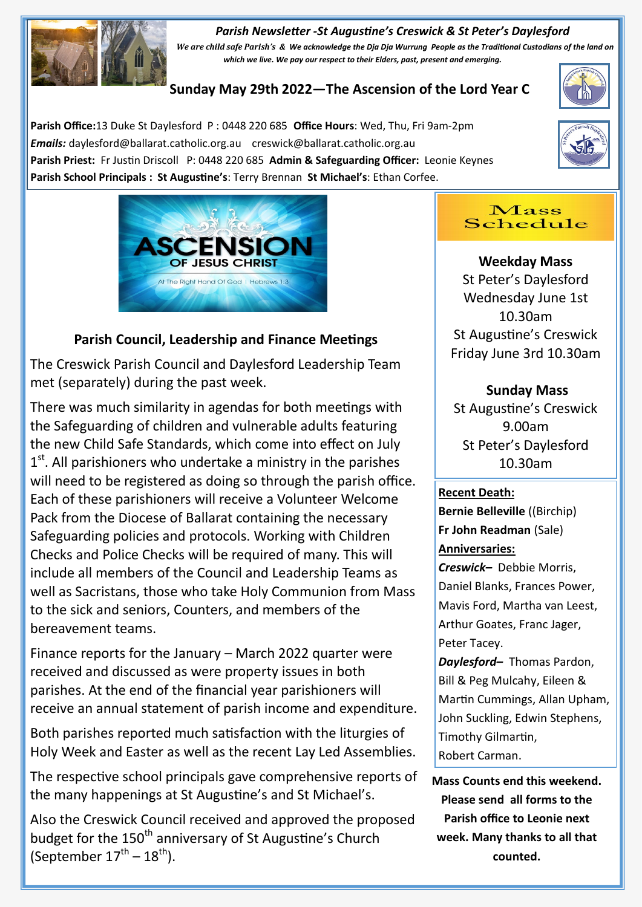#### *Parish Newsletter -St Augustine's Creswick & St Peter's Daylesford*



*We are child safe Parish's & We acknowledge the Dja Dja Wurrung People as the Traditional Custodians of the land on which we live. We pay our respect to their Elders, past, present and emerging.* 

# **Sunday May 29th 2022—The Ascension of the Lord Year C**

**Parish Office:**13 Duke St Daylesford P : 0448 220 685 **Office Hours**: Wed, Thu, Fri 9am-2pm *Emails:* daylesford@ballarat.catholic.org.au creswick@ballarat.catholic.org.au **Parish Priest:** Fr Justin Driscoll P: 0448 220 685 **Admin & Safeguarding Officer:** Leonie Keynes **Parish School Principals : St Augustine's**: Terry Brennan **St Michael's**: Ethan Corfee.







## **Parish Council, Leadership and Finance Meetings**

The Creswick Parish Council and Daylesford Leadership Team met (separately) during the past week.

There was much similarity in agendas for both meetings with the Safeguarding of children and vulnerable adults featuring the new Child Safe Standards, which come into effect on July 1<sup>st</sup>. All parishioners who undertake a ministry in the parishes will need to be registered as doing so through the parish office. Each of these parishioners will receive a Volunteer Welcome Pack from the Diocese of Ballarat containing the necessary Safeguarding policies and protocols. Working with Children Checks and Police Checks will be required of many. This will include all members of the Council and Leadership Teams as well as Sacristans, those who take Holy Communion from Mass to the sick and seniors, Counters, and members of the bereavement teams.

Finance reports for the January – March 2022 quarter were received and discussed as were property issues in both parishes. At the end of the financial year parishioners will receive an annual statement of parish income and expenditure.

Both parishes reported much satisfaction with the liturgies of Holy Week and Easter as well as the recent Lay Led Assemblies.

The respective school principals gave comprehensive reports of the many happenings at St Augustine's and St Michael's.

Also the Creswick Council received and approved the proposed budget for the 150<sup>th</sup> anniversary of St Augustine's Church (September  $17^{\text{th}} - 18^{\text{th}}$ ).

#### Mass Schedule

**Weekday Mass** St Peter's Daylesford Wednesday June 1st 10.30am St Augustine's Creswick Friday June 3rd 10.30am

## **Sunday Mass**

St Augustine's Creswick 9.00am St Peter's Daylesford 10.30am

### **Recent Death:**

**Bernie Belleville** ((Birchip) **Fr John Readman** (Sale) **Anniversaries:** 

*Creswick–* Debbie Morris, Daniel Blanks, Frances Power, Mavis Ford, Martha van Leest, Arthur Goates, Franc Jager, Peter Tacey.

*Daylesford–* Thomas Pardon, Bill & Peg Mulcahy, Eileen & Martin Cummings, Allan Upham, John Suckling, Edwin Stephens, Timothy Gilmartin, Robert Carman.

**Mass Counts end this weekend. Please send all forms to the Parish office to Leonie next week. Many thanks to all that counted.**